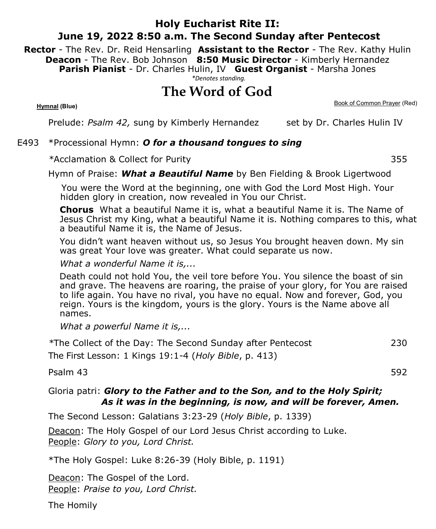### **Holy Eucharist Rite II: June 19, 2022 8:50 a.m. The Second Sunday after Pentecost**

**Rector** - The Rev. Dr. Reid Hensarling **Assistant to the Rector** - The Rev. Kathy Hulin **Deacon** - The Rev. Bob Johnson **8:50 Music Director** - Kimberly Hernandez **Parish Pianist** - Dr. Charles Hulin, IV **Guest Organist** - Marsha Jones

*\*Denotes standing.*

# **The Word of God**

**Hymnal (Blue)**

Book of Common Prayer (Red)

Prelude: *Psalm 42*, sung by Kimberly Hernandez set by Dr. Charles Hulin IV

#### E493 \*Processional Hymn: *O for a thousand tongues to sing*

*\**Acclamation & Collect for Purity 355

Hymn of Praise: *What a Beautiful Name* by Ben Fielding & Brook Ligertwood

You were the Word at the beginning, one with God the Lord Most High. Your hidden glory in creation, now revealed in You our Christ.

**Chorus** What a beautiful Name it is, what a beautiful Name it is. The Name of Jesus Christ my King, what a beautiful Name it is. Nothing compares to this, what a beautiful Name it is, the Name of Jesus.

You didn't want heaven without us, so Jesus You brought heaven down. My sin was great Your love was greater. What could separate us now.

*What a wonderful Name it is,...*

Death could not hold You, the veil tore before You. You silence the boast of sin and grave. The heavens are roaring, the praise of your glory, for You are raised to life again. You have no rival, you have no equal. Now and forever, God, you reign. Yours is the kingdom, yours is the glory. Yours is the Name above all names.

*What a powerful Name it is,...*

*\**The Collect of the Day: The Second Sunday after Pentecost 230

The First Lesson: 1 Kings 19:1-4 (*Holy Bible*, p. 413)

**Psalm 43** 592

#### Gloria patri: *Glory to the Father and to the Son, and to the Holy Spirit; As it was in the beginning, is now, and will be forever, Amen.*

The Second Lesson: Galatians 3:23-29 (*Holy Bible*, p. 1339)

Deacon: The Holy Gospel of our Lord Jesus Christ according to Luke. People: *Glory to you, Lord Christ.*

\*The Holy Gospel: Luke 8:26-39 (Holy Bible, p. 1191)

Deacon: The Gospel of the Lord. People: *Praise to you, Lord Christ.*

The Homily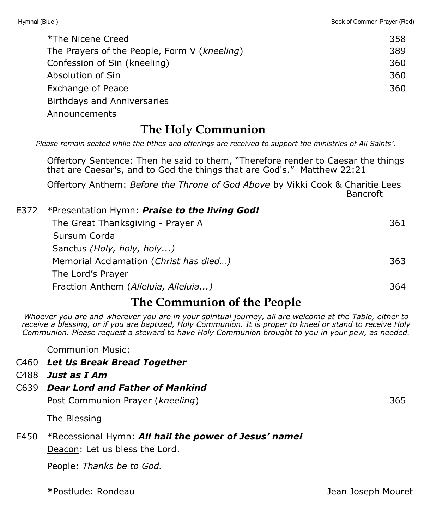| *The Nicene Creed                            | 358 |
|----------------------------------------------|-----|
| The Prayers of the People, Form V (kneeling) | 389 |
| Confession of Sin (kneeling)                 | 360 |
| Absolution of Sin                            | 360 |
| Exchange of Peace                            | 360 |
| <b>Birthdays and Anniversaries</b>           |     |

Announcements

## **The Holy Communion**

*Please remain seated while the tithes and offerings are received to support the ministries of All Saints'.*

Offertory Sentence: Then he said to them, "Therefore render to Caesar the things that are Caesar's, and to God the things that are God's." Matthew 22:21

Offertory Anthem: *Before the Throne of God Above* by Vikki Cook & Charitie Lees Bancroft

| E372 | *Presentation Hymn: Praise to the living God! |     |  |  |
|------|-----------------------------------------------|-----|--|--|
|      | The Great Thanksgiving - Prayer A             | 361 |  |  |
|      | Sursum Corda                                  |     |  |  |
|      | Sanctus (Holy, holy, holy)                    |     |  |  |
|      | Memorial Acclamation (Christ has died)        | 363 |  |  |
|      | The Lord's Prayer                             |     |  |  |
|      | Fraction Anthem (Alleluia, Alleluia)          | 364 |  |  |
|      |                                               |     |  |  |

## **The Communion of the People**

*Whoever you are and wherever you are in your spiritual journey, all are welcome at the Table, either to receive a blessing, or if you are baptized, Holy Communion. It is proper to kneel or stand to receive Holy Communion. Please request a steward to have Holy Communion brought to you in your pew, as needed.*

Communion Music:

- C460 *Let Us Break Bread Together*
- C488 *Just as I Am*
- C639 *Dear Lord and Father of Mankind*

Post Communion Prayer (*kneeling*) 365

The Blessing

# E450 \*Recessional Hymn: *All hail the power of Jesus' name!*

Deacon: Let us bless the Lord.

People: *Thanks be to God.*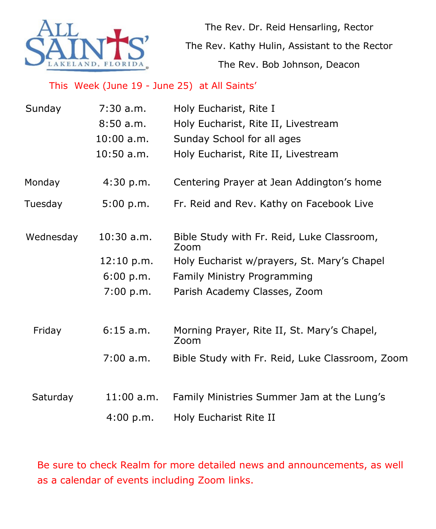

The Rev. Dr. Reid Hensarling, Rector The Rev. Kathy Hulin, Assistant to the Rector The Rev. Bob Johnson, Deacon

### This Week (June 19 - June 25) at All Saints'

| Sunday    | $7:30$ a.m.  | Holy Eucharist, Rite I                              |
|-----------|--------------|-----------------------------------------------------|
|           | 8:50a.m.     | Holy Eucharist, Rite II, Livestream                 |
|           | $10:00$ a.m. | Sunday School for all ages                          |
|           | $10:50$ a.m. | Holy Eucharist, Rite II, Livestream                 |
| Monday    | 4:30 p.m.    | Centering Prayer at Jean Addington's home           |
| Tuesday   | 5:00 p.m.    | Fr. Reid and Rev. Kathy on Facebook Live            |
| Wednesday | $10:30$ a.m. | Bible Study with Fr. Reid, Luke Classroom,<br>Zoom  |
|           | 12:10 p.m.   | Holy Eucharist w/prayers, St. Mary's Chapel         |
|           | 6:00 p.m.    | Family Ministry Programming                         |
|           | 7:00 p.m.    | Parish Academy Classes, Zoom                        |
|           |              |                                                     |
| Friday    | 6:15a.m.     | Morning Prayer, Rite II, St. Mary's Chapel,<br>Zoom |
|           | 7:00 a.m.    | Bible Study with Fr. Reid, Luke Classroom, Zoom     |
|           |              |                                                     |
| Saturday  | $11:00$ a.m. | Family Ministries Summer Jam at the Lung's          |
|           | 4:00 p.m.    | Holy Eucharist Rite II                              |

Be sure to check Realm for more detailed news and announcements, as well as a calendar of events including Zoom links.